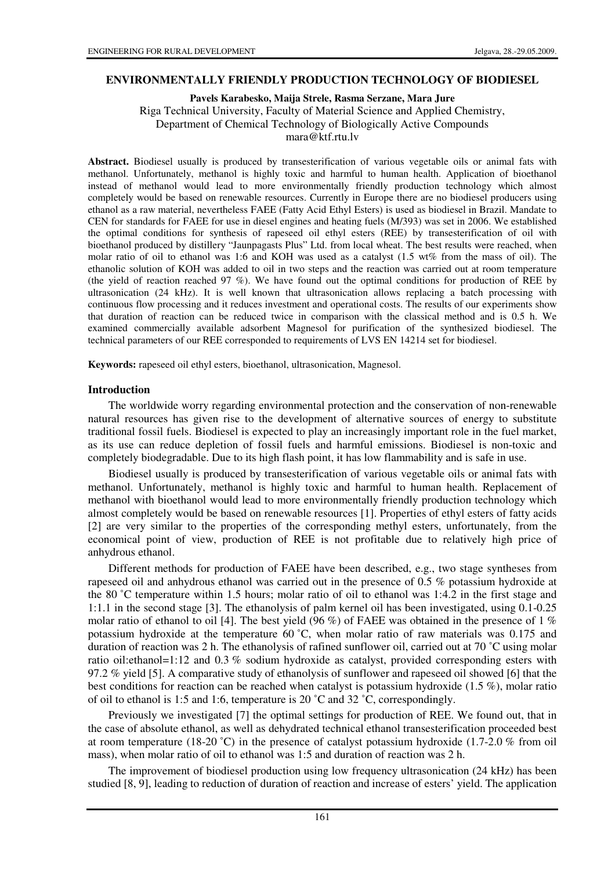#### **ENVIRONMENTALLY FRIENDLY PRODUCTION TECHNOLOGY OF BIODIESEL**

**Pavels Karabesko, Maija Strele, Rasma Serzane, Mara Jure** 

Riga Technical University, Faculty of Material Science and Applied Chemistry,

Department of Chemical Technology of Biologically Active Compounds

mara@ktf.rtu.lv

**Abstract.** Biodiesel usually is produced by transesterification of various vegetable oils or animal fats with methanol. Unfortunately, methanol is highly toxic and harmful to human health. Application of bioethanol instead of methanol would lead to more environmentally friendly production technology which almost completely would be based on renewable resources. Currently in Europe there are no biodiesel producers using ethanol as a raw material, nevertheless FAEE (Fatty Acid Ethyl Esters) is used as biodiesel in Brazil. Mandate to CEN for standards for FAEE for use in diesel engines and heating fuels (M/393) was set in 2006. We established the optimal conditions for synthesis of rapeseed oil ethyl esters (REE) by transesterification of oil with bioethanol produced by distillery "Jaunpagasts Plus" Ltd. from local wheat. The best results were reached, when molar ratio of oil to ethanol was 1:6 and KOH was used as a catalyst (1.5 wt% from the mass of oil). The ethanolic solution of KOH was added to oil in two steps and the reaction was carried out at room temperature (the yield of reaction reached 97 %). We have found out the optimal conditions for production of REE by ultrasonication (24 kHz). It is well known that ultrasonication allows replacing a batch processing with continuous flow processing and it reduces investment and operational costs. The results of our experiments show that duration of reaction can be reduced twice in comparison with the classical method and is 0.5 h. We examined commercially available adsorbent Magnesol for purification of the synthesized biodiesel. The technical parameters of our REE corresponded to requirements of LVS EN 14214 set for biodiesel.

**Keywords:** rapeseed oil ethyl esters, bioethanol, ultrasonication, Magnesol.

#### **Introduction**

The worldwide worry regarding environmental protection and the conservation of non-renewable natural resources has given rise to the development of alternative sources of energy to substitute traditional fossil fuels. Biodiesel is expected to play an increasingly important role in the fuel market, as its use can reduce depletion of fossil fuels and harmful emissions. Biodiesel is non-toxic and completely biodegradable. Due to its high flash point, it has low flammability and is safe in use.

Biodiesel usually is produced by transesterification of various vegetable oils or animal fats with methanol. Unfortunately, methanol is highly toxic and harmful to human health. Replacement of methanol with bioethanol would lead to more environmentally friendly production technology which almost completely would be based on renewable resources [1]. Properties of ethyl esters of fatty acids [2] are very similar to the properties of the corresponding methyl esters, unfortunately, from the economical point of view, production of REE is not profitable due to relatively high price of anhydrous ethanol.

Different methods for production of FAEE have been described, e.g., two stage syntheses from rapeseed oil and anhydrous ethanol was carried out in the presence of 0.5 % potassium hydroxide at the 80 ˚C temperature within 1.5 hours; molar ratio of oil to ethanol was 1:4.2 in the first stage and 1:1.1 in the second stage [3]. The ethanolysis of palm kernel oil has been investigated, using 0.1-0.25 molar ratio of ethanol to oil [4]. The best yield (96 %) of FAEE was obtained in the presence of 1 % potassium hydroxide at the temperature 60 ˚C, when molar ratio of raw materials was 0.175 and duration of reaction was 2 h. The ethanolysis of rafined sunflower oil, carried out at 70 ˚C using molar ratio oil:ethanol=1:12 and 0.3 % sodium hydroxide as catalyst, provided corresponding esters with 97.2 % yield [5]. A comparative study of ethanolysis of sunflower and rapeseed oil showed [6] that the best conditions for reaction can be reached when catalyst is potassium hydroxide (1.5 %), molar ratio of oil to ethanol is 1:5 and 1:6, temperature is 20 ˚C and 32 ˚C, correspondingly.

Previously we investigated [7] the optimal settings for production of REE. We found out, that in the case of absolute ethanol, as well as dehydrated technical ethanol transesterification proceeded best at room temperature (18-20 °C) in the presence of catalyst potassium hydroxide (1.7-2.0 % from oil mass), when molar ratio of oil to ethanol was 1:5 and duration of reaction was 2 h.

The improvement of biodiesel production using low frequency ultrasonication (24 kHz) has been studied [8, 9], leading to reduction of duration of reaction and increase of esters' yield. The application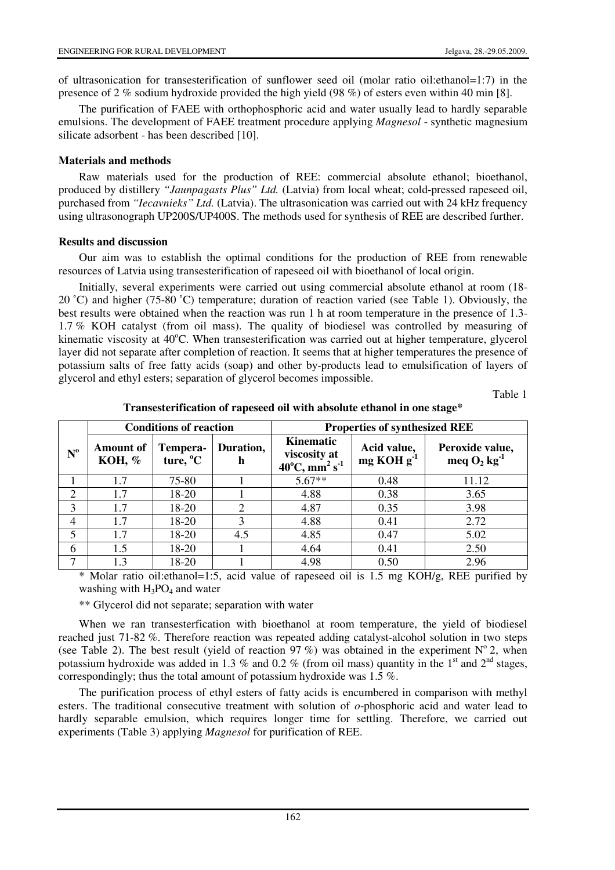of ultrasonication for transesterification of sunflower seed oil (molar ratio oil:ethanol=1:7) in the presence of 2 % sodium hydroxide provided the high yield (98 %) of esters even within 40 min [8].

The purification of FAEE with orthophosphoric acid and water usually lead to hardly separable emulsions. The development of FAEE treatment procedure applying *Magnesol* - synthetic magnesium silicate adsorbent - has been described [10].

### **Materials and methods**

Raw materials used for the production of REE: commercial absolute ethanol; bioethanol, produced by distillery *"Jaunpagasts Plus" Ltd.* (Latvia) from local wheat; cold-pressed rapeseed oil, purchased from *"Iecavnieks" Ltd.* (Latvia). The ultrasonication was carried out with 24 kHz frequency using ultrasonograph UP200S/UP400S. The methods used for synthesis of REE are described further.

### **Results and discussion**

Our aim was to establish the optimal conditions for the production of REE from renewable resources of Latvia using transesterification of rapeseed oil with bioethanol of local origin.

Initially, several experiments were carried out using commercial absolute ethanol at room (18- 20 ˚C) and higher (75-80 ˚C) temperature; duration of reaction varied (see Table 1). Obviously, the best results were obtained when the reaction was run 1 h at room temperature in the presence of 1.3- 1.7 % KOH catalyst (from oil mass). The quality of biodiesel was controlled by measuring of kinematic viscosity at  $40^{\circ}$ C. When transesterification was carried out at higher temperature, glycerol layer did not separate after completion of reaction. It seems that at higher temperatures the presence of potassium salts of free fatty acids (soap) and other by-products lead to emulsification of layers of glycerol and ethyl esters; separation of glycerol becomes impossible.

Table 1

|                  |                            | <b>Conditions of reaction</b>    |                | <b>Properties of synthesized REE</b>                                         |                             |                                               |  |
|------------------|----------------------------|----------------------------------|----------------|------------------------------------------------------------------------------|-----------------------------|-----------------------------------------------|--|
| $N^{\mathrm{o}}$ | <b>Amount of</b><br>КОН, % | Tempera-<br>ture, <sup>o</sup> C | Duration,<br>h | Kinematic<br>viscosity at<br>$40^{\circ}$ C, mm <sup>2</sup> s <sup>-1</sup> | Acid value,<br>$mg KOH g-1$ | Peroxide value,<br>meq $O_2$ kg <sup>-1</sup> |  |
|                  | 1.7                        | 75-80                            |                | $5.67**$                                                                     | 0.48                        | 11.12                                         |  |
| $\overline{2}$   | 1.7                        | 18-20                            |                | 4.88                                                                         | 0.38                        | 3.65                                          |  |
| 3                | 1.7                        | 18-20                            | $\mathcal{D}$  | 4.87                                                                         | 0.35                        | 3.98                                          |  |
| 4                | 1.7                        | 18-20                            |                | 4.88                                                                         | 0.41                        | 2.72                                          |  |
| 5                | 1.7                        | 18-20                            | 4.5            | 4.85                                                                         | 0.47                        | 5.02                                          |  |
| 6                | 1.5                        | 18-20                            |                | 4.64                                                                         | 0.41                        | 2.50                                          |  |
| 7                | 1.3                        | 18-20                            |                | 4.98                                                                         | 0.50                        | 2.96                                          |  |

**Transesterification of rapeseed oil with absolute ethanol in one stage\*** 

\* Molar ratio oil:ethanol=1:5, acid value of rapeseed oil is 1.5 mg KOH/g, REE purified by washing with  $H_3PO_4$  and water

\*\* Glycerol did not separate; separation with water

When we ran transesterfication with bioethanol at room temperature, the yield of biodiesel reached just 71-82 %. Therefore reaction was repeated adding catalyst-alcohol solution in two steps (see Table 2). The best result (yield of reaction 97 %) was obtained in the experiment  $N^{\circ}$  2, when potassium hydroxide was added in 1.3 % and 0.2 % (from oil mass) quantity in the 1<sup>st</sup> and 2<sup>nd</sup> stages, correspondingly; thus the total amount of potassium hydroxide was  $1.5\%$ .

The purification process of ethyl esters of fatty acids is encumbered in comparison with methyl esters. The traditional consecutive treatment with solution of *o*-phosphoric acid and water lead to hardly separable emulsion, which requires longer time for settling. Therefore, we carried out experiments (Table 3) applying *Magnesol* for purification of REE.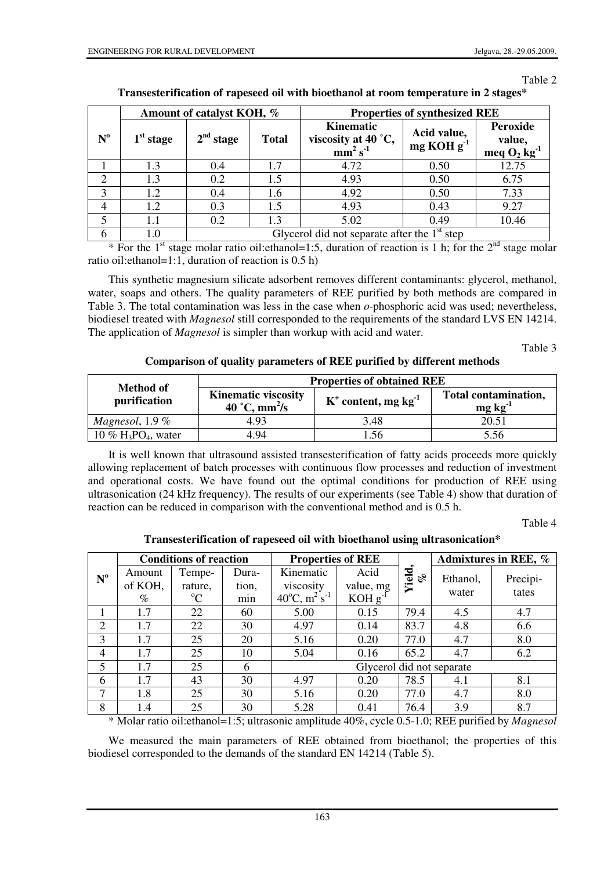Table 2

|             | Amount of catalyst KOH, % |                                                |              | <b>Properties of synthesized REE</b>                       |                                       |                                                  |  |
|-------------|---------------------------|------------------------------------------------|--------------|------------------------------------------------------------|---------------------------------------|--------------------------------------------------|--|
| $N^{\rm o}$ | $1st$ stage               | 2 <sup>nd</sup> stage                          | <b>Total</b> | Kinematic<br>viscosity at 40 $\degree$ C,<br>$mm^2 s^{-1}$ | Acid value,<br>mg KOH g <sup>-1</sup> | Peroxide<br>value,<br>meq $O_2$ kg <sup>-1</sup> |  |
|             | 1.3                       | 0.4                                            | 1.7          | 4.72                                                       | 0.50                                  | 12.75                                            |  |
| 2           | 1.3                       | 0.2                                            | 1.5          | 4.93                                                       | 0.50                                  | 6.75                                             |  |
| 3           | 1.2                       | 0.4                                            | 1.6          | 4.92                                                       | 0.50                                  | 7.33                                             |  |
| 4           | 1.2                       | 0.3                                            | 1.5          | 4.93                                                       | 0.43                                  | 9.27                                             |  |
| 5           | $1.1\,$                   | 0.2                                            | 1.3          | 5.02                                                       | 0.49                                  | 10.46                                            |  |
| 6           | $1.0\,$                   | Glycerol did not separate after the $1st$ step |              |                                                            |                                       |                                                  |  |

## **Transesterification of rapeseed oil with bioethanol at room temperature in 2 stages\***

\* For the 1<sup>st</sup> stage molar ratio oil: ethanol=1:5, duration of reaction is 1 h; for the  $2<sup>nd</sup>$  stage molar ratio oil:ethanol=1:1, duration of reaction is 0.5 h)

This synthetic magnesium silicate adsorbent removes different contaminants: glycerol, methanol, water, soaps and others. The quality parameters of REE purified by both methods are compared in Table 3. The total contamination was less in the case when *o*-phosphoric acid was used; nevertheless, biodiesel treated with *Magnesol* still corresponded to the requirements of the standard LVS EN 14214. The application of *Magnesol* is simpler than workup with acid and water.

Table 3

**Comparison of quality parameters of REE purified by different methods** 

| <b>Method of</b>                              | <b>Properties of obtained REE</b>                       |                                    |                                         |  |  |
|-----------------------------------------------|---------------------------------------------------------|------------------------------------|-----------------------------------------|--|--|
| purification                                  | <b>Kinematic viscosity</b><br>40 °C, mm <sup>2</sup> /s | $K^+$ content, mg kg <sup>-1</sup> | Total contamination,<br>$mg \, kg^{-1}$ |  |  |
| Magnesol, $1.9\%$                             | 4.93                                                    | 3.48                               | 20.51                                   |  |  |
| $10\%$ H <sub>3</sub> PO <sub>4</sub> , water | 4.94                                                    | .56                                | 5 56                                    |  |  |

It is well known that ultrasound assisted transesterification of fatty acids proceeds more quickly allowing replacement of batch processes with continuous flow processes and reduction of investment and operational costs. We have found out the optimal conditions for production of REE using ultrasonication (24 kHz frequency). The results of our experiments (see Table 4) show that duration of reaction can be reduced in comparison with the conventional method and is 0.5 h.

Table 4

**Transesterification of rapeseed oil with bioethanol using ultrasonication\*** 

| $N^{\rm o}$    | <b>Conditions of reaction</b> |             |       | <b>Properties of REE</b>                       |              |              | Admixtures in REE, % |          |
|----------------|-------------------------------|-------------|-------|------------------------------------------------|--------------|--------------|----------------------|----------|
|                | Amount                        | Tempe-      | Dura- | Kinematic                                      | Acid         | Yield,<br>ol | Ethanol,             | Precipi- |
|                | of KOH,                       | rature,     | tion, | viscosity                                      | value, mg    |              | water                | tates    |
|                | $\%$                          | $\rm ^{o}C$ | min   | $40^{\circ}$ C, m <sup>2</sup> s <sup>-1</sup> | $KOH g^{-1}$ |              |                      |          |
|                | 1.7                           | 22          | 60    | 5.00                                           | 0.15         | 79.4         | 4.5                  | 4.7      |
| $\overline{2}$ | 1.7                           | 22          | 30    | 4.97                                           | 0.14         | 83.7         | 4.8                  | 6.6      |
| 3              | 1.7                           | 25          | 20    | 5.16                                           | 0.20         | 77.0         | 4.7                  | 8.0      |
| $\overline{4}$ | 1.7                           | 25          | 10    | 5.04                                           | 0.16         | 65.2         | 4.7                  | 6.2      |
| 5              | 1.7                           | 25          | 6     | Glycerol did not separate                      |              |              |                      |          |
| 6              | 1.7                           | 43          | 30    | 4.97                                           | 0.20         | 78.5         | 4.1                  | 8.1      |
| 7              | 1.8                           | 25          | 30    | 5.16                                           | 0.20         | 77.0         | 4.7                  | 8.0      |
| 8              | 1.4                           | 25          | 30    | 5.28                                           | 0.41         | 76.4         | 3.9                  | 8.7      |

\* Molar ratio oil:ethanol=1:5; ultrasonic amplitude 40%, cycle 0.5-1.0; REE purified by *Magnesol* 

We measured the main parameters of REE obtained from bioethanol; the properties of this biodiesel corresponded to the demands of the standard EN 14214 (Table 5).